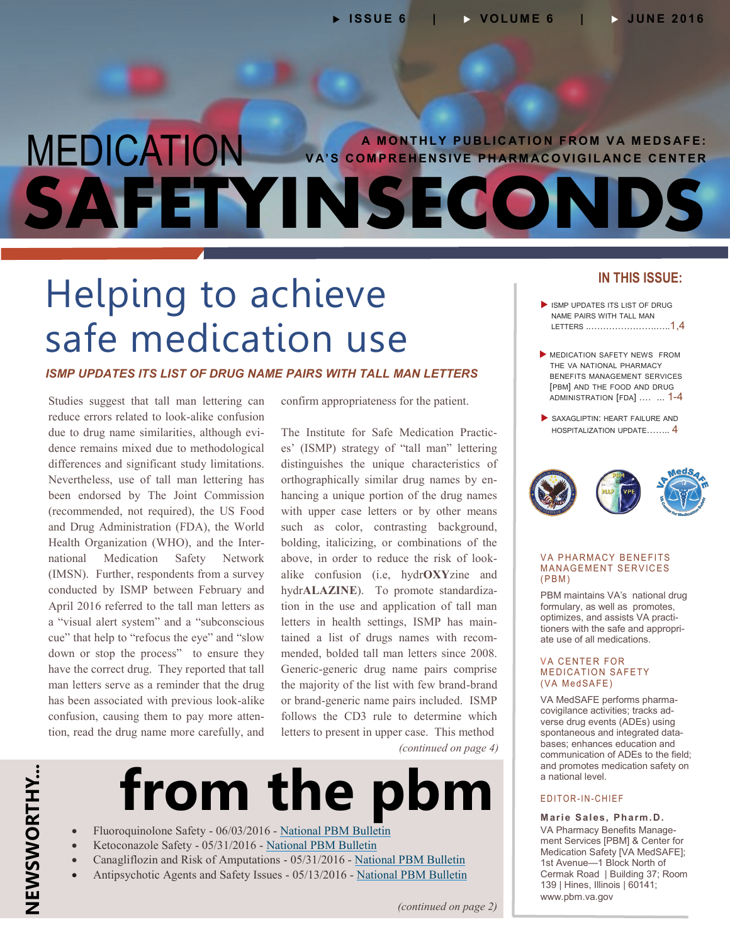# MEDICATION VA'S COMPREHENSIVE PHARMACOVIGILANCE CENTER **SAFETYINSECONDS**

# Helping to achieve safe medication use

#### *ISMP UPDATES ITS LIST OF DRUG NAME PAIRS WITH TALL MAN LETTERS*

Studies suggest that tall man lettering can reduce errors related to look-alike confusion due to drug name similarities, although evidence remains mixed due to methodological differences and significant study limitations. Nevertheless, use of tall man lettering has been endorsed by The Joint Commission (recommended, not required), the US Food and Drug Administration (FDA), the World Health Organization (WHO), and the International Medication Safety Network (IMSN). Further, respondents from a survey conducted by ISMP between February and April 2016 referred to the tall man letters as a "visual alert system" and a "subconscious cue" that help to "refocus the eye" and "slow down or stop the process" to ensure they have the correct drug. They reported that tall man letters serve as a reminder that the drug has been associated with previous look-alike confusion, causing them to pay more attention, read the drug name more carefully, and

confirm appropriateness for the patient.

The Institute for Safe Medication Practices' (ISMP) strategy of "tall man" lettering distinguishes the unique characteristics of orthographically similar drug names by enhancing a unique portion of the drug names with upper case letters or by other means such as color, contrasting background, bolding, italicizing, or combinations of the above, in order to reduce the risk of lookalike confusion (i.e, hydr**OXY**zine and hydr**ALAZINE**). To promote standardization in the use and application of tall man letters in health settings, ISMP has maintained a list of drugs names with recommended, bolded tall man letters since 2008. Generic-generic drug name pairs comprise the majority of the list with few brand-brand or brand-generic name pairs included. ISMP follows the CD3 rule to determine which letters to present in upper case. This method

*(continued on page 4)*

# **from the pbm**

- Fluoroquinolone Safety 06/03/2016 [National PBM Bulletin](http://www.pbm.va.gov/PBM/vacenterformedicationsafety/nationalpbmbulletin/FLUOROQUINOLONE_SAFETY_NATIONAL_PBM_BULLETIN_060316_FINAL.pdf)
- Ketoconazole Safety 05/31/2016 [National PBM Bulletin](http://www.pbm.va.gov/PBM/vacenterformedicationsafety/nationalpbmbulletin/KETOCONAZOLE_SAFETY_NATIONAL_PBM_BULLETIN_053116_FINAL.pdf)
- Canagliflozin and Risk of Amputations 05/31/2016 [National PBM Bulletin](http://www.pbm.va.gov/PBM/vacenterformedicationsafety/nationalpbmbulletin/Canagliflozin_and_Risk_of_Amputations_NATIONAL_PBM_BULLETIN_053116_FINAL.pdf)
- Antipsychotic Agents and Safety Issues 05/13/2016 [National PBM Bulletin](http://www.pbm.va.gov/PBM/vacenterformedicationsafety/nationalpbmbulletin/Antipsychotic_Safety_Issues_NATIONAL_PBM_BULLETIN_051316_FINAL.pdf)

### **IN THIS ISSUE:**

- ISMP UPDATES ITS LIST OF DRUG NAME PAIRS WITH TALL MAN LETTERS ..………………….…..1,4
- MEDICATION SAFETY NEWS FROM THE VA NATIONAL PHARMACY BENEFITS MANAGEMENT SERVICES [PBM] AND THE FOOD AND DRUG [ADMINISTRATION](#page-1-0) [FDA] .… ... 1-4
- SAXAGLIPTIN: HEART FAILURE AND [HOSPITALIZATION](#page-3-0) UPDATE…….. 4



#### **VA PHARMACY BENEFITS MANAGEMENT SERVICES**  $(PBM)$

PBM maintains VA's national drug formulary, as well as promotes, optimizes, and assists VA practitioners with the safe and appropriate use of all medications.

#### **VA CENTER FOR MEDICATION SAFETY** (VA MedSAFE)

VA MedSAFE performs pharmacovigilance activities; tracks adverse drug events (ADEs) using spontaneous and integrated databases; enhances education and communication of ADEs to the field; and promotes medication safety on a national level.

#### E D I T O R - I N - C H I E F

**Marie Sales, Pharm.D.** VA Pharmacy Benefits Management Services [PBM] & Center for Medication Safety [VA MedSAFE]; 1st Avenue—1 Block North of Cermak Road | Building 37; Room 139 | Hines, Illinois | 60141; [www.pbm.va.gov](https://www.pbm.va.gov/)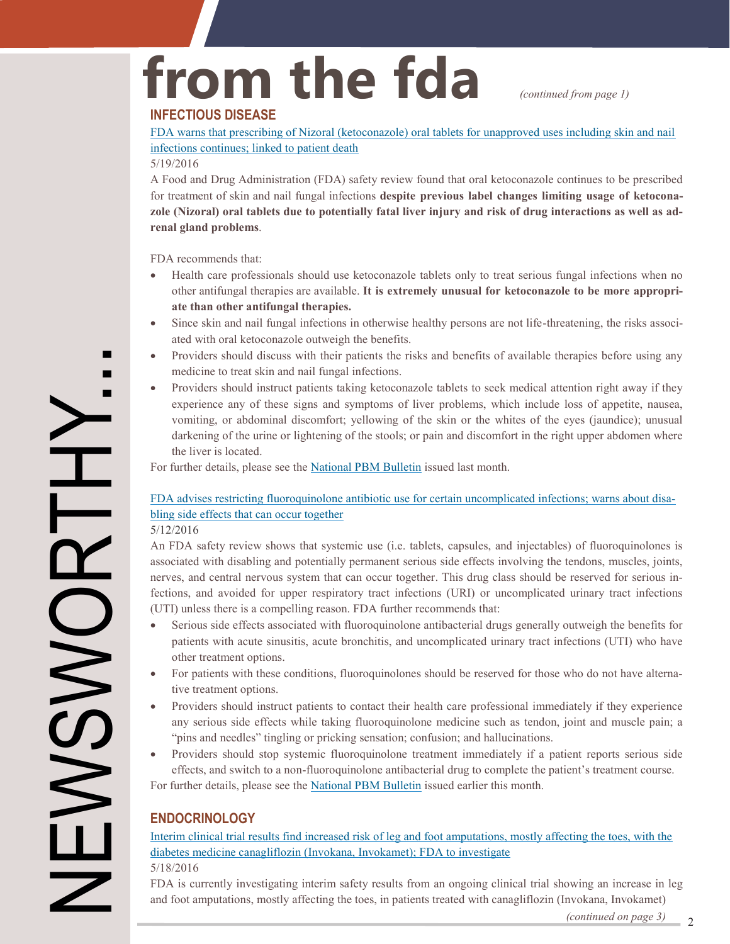*(continued from page 1)*

# <span id="page-1-0"></span>**from the fda**

### **INFECTIOUS DISEASE**

[FDA warns that prescribing of Nizoral \(ketoconazole\) oral tablets for unapproved uses including skin and nail](http://www.fda.gov/Drugs/DrugSafety/ucm500597.htm) infections continues; linked to patient death

#### 5/19/2016

A Food and Drug Administration (FDA) safety review found that oral ketoconazole continues to be prescribed for treatment of skin and nail fungal infections **despite previous label changes limiting usage of ketoconazole (Nizoral) oral tablets due to potentially fatal liver injury and risk of drug interactions as well as adrenal gland problems**.

FDA recommends that:

- Health care professionals should use ketoconazole tablets only to treat serious fungal infections when no other antifungal therapies are available. **It is extremely unusual for ketoconazole to be more appropriate than other antifungal therapies.**
- Since skin and nail fungal infections in otherwise healthy persons are not life-threatening, the risks associated with oral ketoconazole outweigh the benefits.
- Providers should discuss with their patients the risks and benefits of available therapies before using any medicine to treat skin and nail fungal infections.
- Providers should instruct patients taking ketoconazole tablets to seek medical attention right away if they experience any of these signs and symptoms of liver problems, which include loss of appetite, nausea, vomiting, or abdominal discomfort; yellowing of the skin or the whites of the eyes (jaundice); unusual darkening of the urine or lightening of the stools; or pain and discomfort in the right upper abdomen where the liver is located.

For further details, please see the [National PBM Bulletin](http://www.pbm.va.gov/PBM/vacenterformedicationsafety/nationalpbmbulletin/KETOCONAZOLE_SAFETY_NATIONAL_PBM_BULLETIN_053116_FINAL.pdf) issued last month.

## [FDA advises restricting fluoroquinolone antibiotic use for certain uncomplicated infections; warns about disa](http://www.fda.gov/Drugs/DrugSafety/ucm500143.htm)bling side effects that can occur together

5/12/2016

An FDA safety review shows that systemic use (i.e. tablets, capsules, and injectables) of fluoroquinolones is associated with disabling and potentially permanent serious side effects involving the tendons, muscles, joints, nerves, and central nervous system that can occur together. This drug class should be reserved for serious infections, and avoided for upper respiratory tract infections (URI) or uncomplicated urinary tract infections (UTI) unless there is a compelling reason. FDA further recommends that:

- Serious side effects associated with fluoroquinolone antibacterial drugs generally outweigh the benefits for patients with acute sinusitis, acute bronchitis, and uncomplicated urinary tract infections (UTI) who have other treatment options.
- For patients with these conditions, fluoroquinolones should be reserved for those who do not have alternative treatment options.
- Providers should instruct patients to contact their health care professional immediately if they experience any serious side effects while taking fluoroquinolone medicine such as tendon, joint and muscle pain; a "pins and needles" tingling or pricking sensation; confusion; and hallucinations.
- Providers should stop systemic fluoroquinolone treatment immediately if a patient reports serious side effects, and switch to a non-fluoroquinolone antibacterial drug to complete the patient's treatment course. For further details, please see the [National PBM Bulletin](http://www.pbm.va.gov/PBM/vacenterformedicationsafety/nationalpbmbulletin/FLUOROQUINOLONE_SAFETY_NATIONAL_PBM_BULLETIN_060316_FINAL.pdf) issued earlier this month.

## **ENDOCRINOLOGY**

[Interim clinical trial results find increased risk of leg and foot amputations, mostly affecting the toes, with the](http://www.fda.gov/Drugs/DrugSafety/ucm500965.htm)  diabetes medicine canagliflozin (Invokana, Invokamet); FDA to investigate 5/18/2016

FDA is currently investigating interim safety results from an ongoing clinical trial showing an increase in leg and foot amputations, mostly affecting the toes, in patients treated with canagliflozin (Invokana, Invokamet)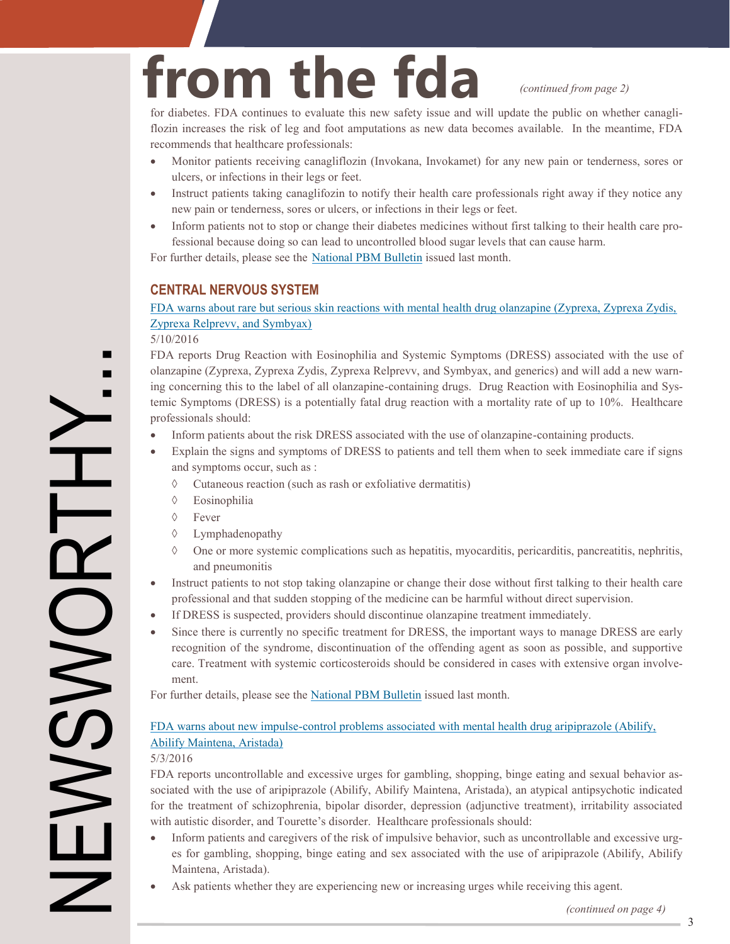*(continued from page 2)*

for diabetes. FDA continues to evaluate this new safety issue and will update the public on whether canagliflozin increases the risk of leg and foot amputations as new data becomes available. In the meantime, FDA recommends that healthcare professionals:

- Monitor patients receiving canagliflozin (Invokana, Invokamet) for any new pain or tenderness, sores or ulcers, or infections in their legs or feet.
- Instruct patients taking canaglifozin to notify their health care professionals right away if they notice any new pain or tenderness, sores or ulcers, or infections in their legs or feet.
- Inform patients not to stop or change their diabetes medicines without first talking to their health care professional because doing so can lead to uncontrolled blood sugar levels that can cause harm.

For further details, please see the [National PBM Bulletin](http://www.pbm.va.gov/PBM/vacenterformedicationsafety/nationalpbmbulletin/Canagliflozin_and_Risk_of_Amputations_NATIONAL_PBM_BULLETIN_053116_FINAL.pdf) issued last month.

**from the fda**

### **CENTRAL NERVOUS SYSTEM**

### [FDA warns about rare but serious skin reactions with mental health drug olanzapine \(Zyprexa, Zyprexa Zydis,](http://www.fda.gov/Drugs/DrugSafety/ucm499441.htm)  Zyprexa Relprevv, and Symbyax)

5/10/2016

FDA reports Drug Reaction with Eosinophilia and Systemic Symptoms (DRESS) associated with the use of olanzapine (Zyprexa, Zyprexa Zydis, Zyprexa Relprevv, and Symbyax, and generics) and will add a new warning concerning this to the label of all olanzapine-containing drugs. Drug Reaction with Eosinophilia and Systemic Symptoms (DRESS) is a potentially fatal drug reaction with a mortality rate of up to 10%. Healthcare professionals should:

- Inform patients about the risk DRESS associated with the use of olanzapine-containing products.
- Explain the signs and symptoms of DRESS to patients and tell them when to seek immediate care if signs and symptoms occur, such as :
	- $\Diamond$  Cutaneous reaction (such as rash or exfoliative dermatitis)
	- Eosinophilia
	- $\Diamond$  Fever
	- Lymphadenopathy
	- $\Diamond$  One or more systemic complications such as hepatitis, myocarditis, pericarditis, pancreatitis, nephritis, and pneumonitis
- Instruct patients to not stop taking olanzapine or change their dose without first talking to their health care professional and that sudden stopping of the medicine can be harmful without direct supervision.
- If DRESS is suspected, providers should discontinue olanzapine treatment immediately.
- Since there is currently no specific treatment for DRESS, the important ways to manage DRESS are early recognition of the syndrome, discontinuation of the offending agent as soon as possible, and supportive care. Treatment with systemic corticosteroids should be considered in cases with extensive organ involvement.

For further details, please see the [National PBM Bulletin](http://www.pbm.va.gov/PBM/vacenterformedicationsafety/nationalpbmbulletin/Antipsychotic_Safety_Issues_NATIONAL_PBM_BULLETIN_051316_FINAL.pdf) issued last month.

### FDA warns about new impulse-[control problems associated with mental health drug aripiprazole \(Abilify,](http://www.fda.gov/Drugs/DrugSafety/ucm499441.htm)  Abilify Maintena, Aristada)

5/3/2016

FDA reports uncontrollable and excessive urges for gambling, shopping, binge eating and sexual behavior associated with the use of aripiprazole (Abilify, Abilify Maintena, Aristada), an atypical antipsychotic indicated for the treatment of schizophrenia, bipolar disorder, depression (adjunctive treatment), irritability associated with autistic disorder, and Tourette's disorder. Healthcare professionals should:

- Inform patients and caregivers of the risk of impulsive behavior, such as uncontrollable and excessive urges for gambling, shopping, binge eating and sex associated with the use of aripiprazole (Abilify, Abilify Maintena, Aristada).
- Ask patients whether they are experiencing new or increasing urges while receiving this agent.